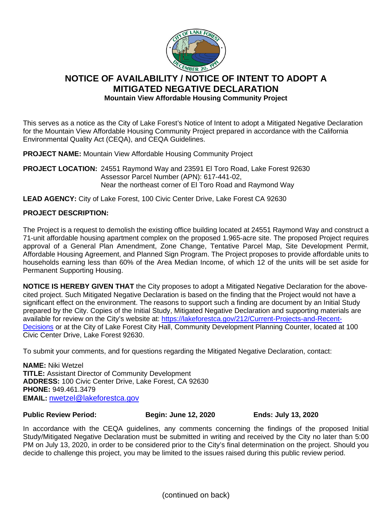

## **NOTICE OF AVAILABILITY / NOTICE OF INTENT TO ADOPT A MITIGATED NEGATIVE DECLARATION Mountain View Affordable Housing Community Project**

This serves as a notice as the City of Lake Forest's Notice of Intent to adopt a Mitigated Negative Declaration for the Mountain View Affordable Housing Community Project prepared in accordance with the California Environmental Quality Act (CEQA), and CEQA Guidelines.

**PROJECT NAME:** Mountain View Affordable Housing Community Project

**PROJECT LOCATION:** 24551 Raymond Way and 23591 El Toro Road, Lake Forest 92630 Assessor Parcel Number (APN): 617-441-02, Near the northeast corner of El Toro Road and Raymond Way

**LEAD AGENCY:** City of Lake Forest, 100 Civic Center Drive, Lake Forest CA 92630

## **PROJECT DESCRIPTION:**

The Project is a request to demolish the existing office building located at 24551 Raymond Way and construct a 71-unit affordable housing apartment complex on the proposed 1.965-acre site. The proposed Project requires approval of a General Plan Amendment, Zone Change, Tentative Parcel Map, Site Development Permit, Affordable Housing Agreement, and Planned Sign Program. The Project proposes to provide affordable units to households earning less than 60% of the Area Median Income, of which 12 of the units will be set aside for Permanent Supporting Housing.

**NOTICE IS HEREBY GIVEN THAT** the City proposes to adopt a Mitigated Negative Declaration for the abovecited project. Such Mitigated Negative Declaration is based on the finding that the Project would not have a significant effect on the environment. The reasons to support such a finding are document by an Initial Study prepared by the City. Copies of the Initial Study, Mitigated Negative Declaration and supporting materials are available for review on the City's website at: [https://lakeforestca.gov/212/Current-Projects-and-Recent-](https://lakeforestca.gov/212/Current-Projects-and-Recent-Decisions)[Decisions](https://lakeforestca.gov/212/Current-Projects-and-Recent-Decisions) or at the City of Lake Forest City Hall, Community Development Planning Counter, located at 100 Civic Center Drive, Lake Forest 92630.

To submit your comments, and for questions regarding the Mitigated Negative Declaration, contact:

**NAME:** Niki Wetzel **TITLE:** Assistant Director of Community Development **ADDRESS:** 100 Civic Center Drive, Lake Forest, CA 92630 **PHONE:** 949.461.3479 **EMAIL:** [nwetzel@lakeforestca.gov](mailto:nwetzel@lakeforestca.gov)

**Public Review Period: Begin: June 12, 2020 Ends: July 13, 2020**

In accordance with the CEQA guidelines, any comments concerning the findings of the proposed Initial Study/Mitigated Negative Declaration must be submitted in writing and received by the City no later than 5:00 PM on July 13, 2020, in order to be considered prior to the City's final determination on the project. Should you decide to challenge this project, you may be limited to the issues raised during this public review period.